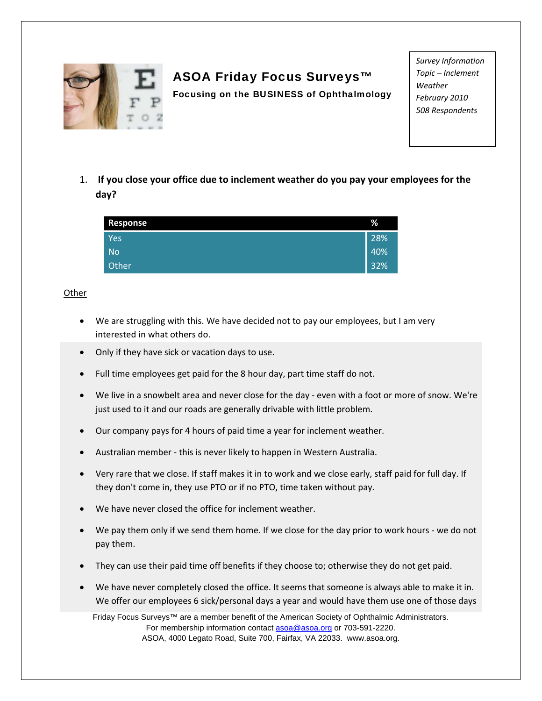

## ASOA Friday Focus Surveys™

Focusing on the BUSINESS of Ophthalmology

*Survey Information Topic – Inclement Weather February 2010 508 Respondents*

1. **If you close your office due to inclement weather do you pay your employees for the day?**

| <b>Response</b> | %   |
|-----------------|-----|
| Yes             | 28% |
| <b>No</b>       | 40% |
| Other           | 32% |

## **Other**

- We are struggling with this. We have decided not to pay our employees, but I am very interested in what others do.
- Only if they have sick or vacation days to use.
- Full time employees get paid for the 8 hour day, part time staff do not.
- We live in a snowbelt area and never close for the day ‐ even with a foot or more of snow. We're just used to it and our roads are generally drivable with little problem.
- Our company pays for 4 hours of paid time a year for inclement weather.
- Australian member ‐ this is never likely to happen in Western Australia.
- Very rare that we close. If staff makes it in to work and we close early, staff paid for full day. If they don't come in, they use PTO or if no PTO, time taken without pay.
- We have never closed the office for inclement weather.
- We pay them only if we send them home. If we close for the day prior to work hours ‐ we do not pay them.
- They can use their paid time off benefits if they choose to; otherwise they do not get paid.
- We have never completely closed the office. It seems that someone is always able to make it in. We offer our employees 6 sick/personal days a year and would have them use one of those days

Friday Focus Surveys™ are a member benefit of the American Society of Ophthalmic Administrators. For membership information contact **asoa@asoa.org** or 703-591-2220. ASOA, 4000 Legato Road, Suite 700, Fairfax, VA 22033. www.asoa.org.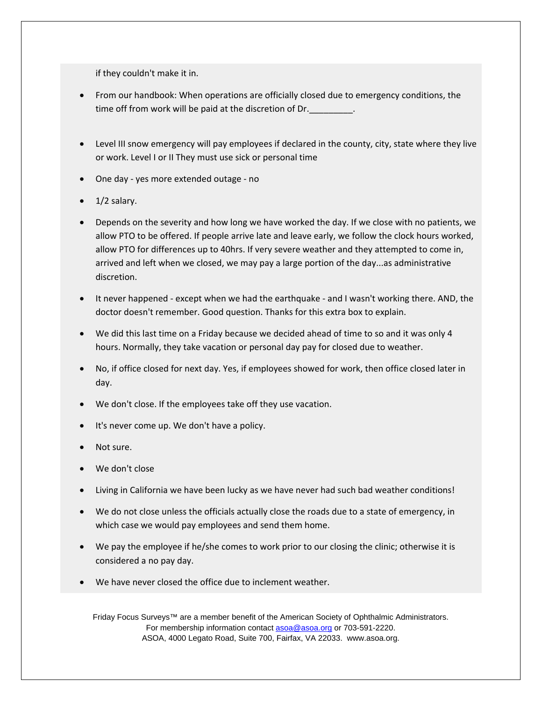if they couldn't make it in.

- From our handbook: When operations are officially closed due to emergency conditions, the time off from work will be paid at the discretion of Dr.
- Level III snow emergency will pay employees if declared in the county, city, state where they live or work. Level I or II They must use sick or personal time
- One day ‐ yes more extended outage ‐ no
- 1/2 salary.
- Depends on the severity and how long we have worked the day. If we close with no patients, we allow PTO to be offered. If people arrive late and leave early, we follow the clock hours worked, allow PTO for differences up to 40hrs. If very severe weather and they attempted to come in, arrived and left when we closed, we may pay a large portion of the day...as administrative discretion.
- It never happened ‐ except when we had the earthquake ‐ and I wasn't working there. AND, the doctor doesn't remember. Good question. Thanks for this extra box to explain.
- We did this last time on a Friday because we decided ahead of time to so and it was only 4 hours. Normally, they take vacation or personal day pay for closed due to weather.
- No, if office closed for next day. Yes, if employees showed for work, then office closed later in day.
- We don't close. If the employees take off they use vacation.
- It's never come up. We don't have a policy.
- Not sure.
- We don't close
- Living in California we have been lucky as we have never had such bad weather conditions!
- We do not close unless the officials actually close the roads due to a state of emergency, in which case we would pay employees and send them home.
- We pay the employee if he/she comes to work prior to our closing the clinic; otherwise it is considered a no pay day.
- We have never closed the office due to inclement weather.

Friday Focus Surveys™ are a member benefit of the American Society of Ophthalmic Administrators. For membership information contact asoa@asoa.org or 703-591-2220. ASOA, 4000 Legato Road, Suite 700, Fairfax, VA 22033. www.asoa.org.